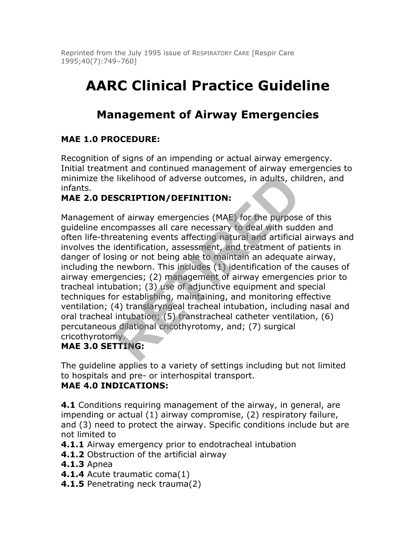Reprinted from the July 1995 issue of RESPIRATORY CARE [Respir Care 1995;40(7):749–760]

# **AARC Clinical Practice Guideline**

# **Management of Airway Emergencies**

### **MAE 1.0 PROCEDURE:**

Recognition of signs of an impending or actual airway emergency. Initial treatment and continued management of airway emergencies to minimize the likelihood of adverse outcomes, in adults, children, and infants.

### **MAE 2.0 DESCRIPTION/DEFINITION:**

Management of airway emergencies (MAE) for the purpose of this guideline encompasses all care necessary to deal with sudden and often life-threatening events affecting natural and artificial airways and involves the identification, assessment, and treatment of patients in danger of losing or not being able to maintain an adequate airway, including the newborn. This includes (1) identification of the causes of airway emergencies; (2) management of airway emergencies prior to tracheal intubation; (3) use of adjunctive equipment and special techniques for establishing, maintaining, and monitoring effective ventilation; (4) translaryngeal tracheal intubation, including nasal and oral tracheal intubation; (5) transtracheal catheter ventilation, (6) percutaneous dilational cricothyrotomy, and; (7) surgical cricothyrotomy. I likelihood of adverse outcomes, in adults, chi<br> **SCRIPTION/DEFINITION:**<br>
cof airway emergencies (MAE) for the purpose<br>
compasses all care necessary to deal with sude<br>
deatening events affecting natural and artificial<br>
id

### **MAE 3.0 SETTING:**

The guideline applies to a variety of settings including but not limited to hospitals and pre- or interhospital transport.

### **MAE 4.0 INDICATIONS:**

**4.1** Conditions requiring management of the airway, in general, are impending or actual (1) airway compromise, (2) respiratory failure, and (3) need to protect the airway. Specific conditions include but are not limited to

- **4.1.1** Airway emergency prior to endotracheal intubation
- **4.1.2** Obstruction of the artificial airway
- **4.1.3** Apnea
- **4.1.4** Acute traumatic coma(1)
- **4.1.5** Penetrating neck trauma(2)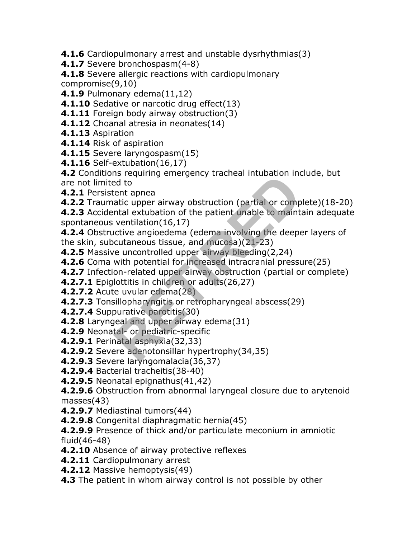**4.1.6** Cardiopulmonary arrest and unstable dysrhythmias(3)

**4.1.7** Severe bronchospasm(4-8)

**4.1.8** Severe allergic reactions with cardiopulmonary compromise(9,10)

- **4.1.9** Pulmonary edema(11,12)
- **4.1.10** Sedative or narcotic drug effect(13)
- **4.1.11** Foreign body airway obstruction(3)
- **4.1.12** Choanal atresia in neonates(14)
- **4.1.13** Aspiration
- **4.1.14** Risk of aspiration
- **4.1.15** Severe laryngospasm(15)
- **4.1.16** Self-extubation(16,17)

**4.2** Conditions requiring emergency tracheal intubation include, but are not limited to

- **4.2.1** Persistent apnea
- **4.2.2** Traumatic upper airway obstruction (partial or complete)(18-20)

**4.2.3** Accidental extubation of the patient unable to maintain adequate spontaneous ventilation(16,17)

**4.2.4** Obstructive angioedema (edema involving the deeper layers of the skin, subcutaneous tissue, and mucosa)(21-23) requiring emergency trachear intubation interests<br>atic upper airway obstruction (partial or comp<br>ntal extubation of the patient unable to maint<br>ventilation(16,17)<br>active angioedema (edema involving the deeper<br>cutaneous tis

- **4.2.5** Massive uncontrolled upper airway bleeding(2,24)
- **4.2.6** Coma with potential for increased intracranial pressure(25)
- **4.2.7** Infection-related upper airway obstruction (partial or complete)
- **4.2.7.1** Epiglottitis in children or adults(26,27)
- **4.2.7.2** Acute uvular edema(28)
- **4.2.7.3** Tonsillopharyngitis or retropharyngeal abscess(29)
- **4.2.7.4** Suppurative parotitis(30)
- **4.2.8** Laryngeal and upper airway edema(31)
- **4.2.9** Neonatal- or pediatric-specific
- **4.2.9.1** Perinatal asphyxia(32,33)
- **4.2.9.2** Severe adenotonsillar hypertrophy(34,35)
- **4.2.9.3** Severe laryngomalacia(36,37)
- **4.2.9.4** Bacterial tracheitis(38-40)
- **4.2.9.5** Neonatal epignathus(41,42)

**4.2.9.6** Obstruction from abnormal laryngeal closure due to arytenoid masses(43)

- **4.2.9.7** Mediastinal tumors(44)
- **4.2.9.8** Congenital diaphragmatic hernia(45)
- **4.2.9.9** Presence of thick and/or particulate meconium in amniotic fluid(46-48)
- **4.2.10** Absence of airway protective reflexes
- **4.2.11** Cardiopulmonary arrest
- **4.2.12** Massive hemoptysis(49)
- **4.3** The patient in whom airway control is not possible by other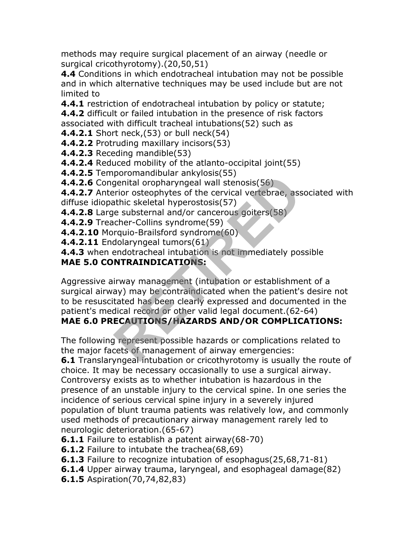methods may require surgical placement of an airway (needle or surgical cricothyrotomy).(20,50,51)

**4.4** Conditions in which endotracheal intubation may not be possible and in which alternative techniques may be used include but are not limited to

**4.4.1** restriction of endotracheal intubation by policy or statute;

**4.4.2** difficult or failed intubation in the presence of risk factors associated with difficult tracheal intubations(52) such as

**4.4.2.1** Short neck,(53) or bull neck(54)

- **4.4.2.2** Protruding maxillary incisors(53)
- **4.4.2.3** Receding mandible(53)
- **4.4.2.4** Reduced mobility of the atlanto-occipital joint(55)
- **4.4.2.5** Temporomandibular ankylosis(55)
- **4.4.2.6** Congenital oropharyngeal wall stenosis(56)

**4.4.2.7** Anterior osteophytes of the cervical vertebrae, associated with diffuse idiopathic skeletal hyperostosis(57)

- **4.4.2.8** Large substernal and/or cancerous goiters(58)
- **4.4.2.9** Treacher-Collins syndrome(59)
- **4.4.2.10** Morquio-Brailsford syndrome(60)
- **4.4.2.11** Endolaryngeal tumors(61)
- **4.4.3** when endotracheal intubation is not immediately possible

# **MAE 5.0 CONTRAINDICATIONS:**

Aggressive airway management (intubation or establishment of a surgical airway) may be contraindicated when the patient's desire not to be resuscitated has been clearly expressed and documented in the patient's medical record or other valid legal document.(62-64) **MAE 6.0 PRECAUTIONS/HAZARDS AND/OR COMPLICATIONS:** portificial oropharyngeal wall stenosis(56)<br>genital oropharyngeal wall stenosis(56)<br>rior osteophytes of the cervical vertebrae, assettic skeletal hyperostosis(57)<br>e substemal and/or cancerous goiters(58)<br>cher-Collins syndr

The following represent possible hazards or complications related to the major facets of management of airway emergencies:

**6.1** Translaryngeal intubation or cricothyrotomy is usually the route of choice. It may be necessary occasionally to use a surgical airway. Controversy exists as to whether intubation is hazardous in the presence of an unstable injury to the cervical spine. In one series the incidence of serious cervical spine injury in a severely injured population of blunt trauma patients was relatively low, and commonly used methods of precautionary airway management rarely led to neurologic deterioration.(65-67)

**6.1.1** Failure to establish a patent airway(68-70)

- **6.1.2** Failure to intubate the trachea(68,69)
- **6.1.3** Failure to recognize intubation of esophagus(25,68,71-81)
- **6.1.4** Upper airway trauma, laryngeal, and esophageal damage(82)
- **6.1.5** Aspiration(70,74,82,83)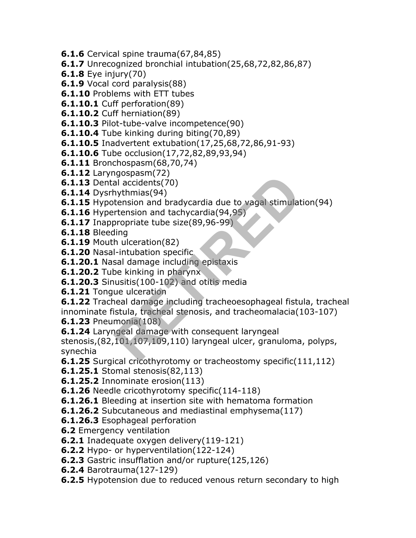- **6.1.6** Cervical spine trauma(67,84,85)
- **6.1.7** Unrecognized bronchial intubation(25,68,72,82,86,87)
- **6.1.8** Eye injury(70)
- **6.1.9** Vocal cord paralysis(88)
- **6.1.10** Problems with ETT tubes
- **6.1.10.1** Cuff perforation(89)
- **6.1.10.2** Cuff herniation(89)
- **6.1.10.3** Pilot-tube-valve incompetence(90)
- **6.1.10.4** Tube kinking during biting(70,89)
- **6.1.10.5** Inadvertent extubation(17,25,68,72,86,91-93)
- **6.1.10.6** Tube occlusion(17,72,82,89,93,94)
- **6.1.11** Bronchospasm(68,70,74)
- **6.1.12** Laryngospasm(72)
- **6.1.13** Dental accidents(70)
- **6.1.14** Dysrhythmias(94)
- **6.1.15** Hypotension and bradycardia due to vagal stimulation(94)
- **6.1.16** Hypertension and tachycardia(94,95)
- **6.1.17** Inappropriate tube size(89,96-99)
- **6.1.18** Bleeding
- **6.1.19** Mouth ulceration(82)
- **6.1.20** Nasal-intubation specific
- **6.1.20.1** Nasal damage including epistaxis
- **6.1.20.2** Tube kinking in pharynx
- **6.1.20.3** Sinusitis(100-102) and otitis media
- **6.1.21** Tongue ulceration
- **6.1.22** Tracheal damage including tracheoesophageal fistula, tracheal innominate fistula, tracheal stenosis, and tracheomalacia(103-107)
- **6.1.23** Pneumonia(108)
- **6.1.24** Laryngeal damage with consequent laryngeal
- stenosis,(82,101,107,109,110) laryngeal ulcer, granuloma, polyps, synechia recommist and bradycardia due to vagal stimulat<br>
rtension and bradycardia due to vagal stimulat<br>
rtension and tachycardia (94,95)<br>
propriate tube size(89,96-99)<br>
ling<br>
h ulceration (82)<br>
I-intubation specific<br>
sal damage i
- **6.1.25** Surgical cricothyrotomy or tracheostomy specific(111,112)
- **6.1.25.1** Stomal stenosis(82,113)
- **6.1.25.2** Innominate erosion(113)
- **6.1.26** Needle cricothyrotomy specific(114-118)
- **6.1.26.1** Bleeding at insertion site with hematoma formation
- **6.1.26.2** Subcutaneous and mediastinal emphysema(117)
- **6.1.26.3** Esophageal perforation
- **6.2** Emergency ventilation
- **6.2.1** Inadequate oxygen delivery(119-121)
- **6.2.2** Hypo- or hyperventilation(122-124)
- **6.2.3** Gastric insufflation and/or rupture(125,126)
- **6.2.4** Barotrauma(127-129)
- **6.2.5** Hypotension due to reduced venous return secondary to high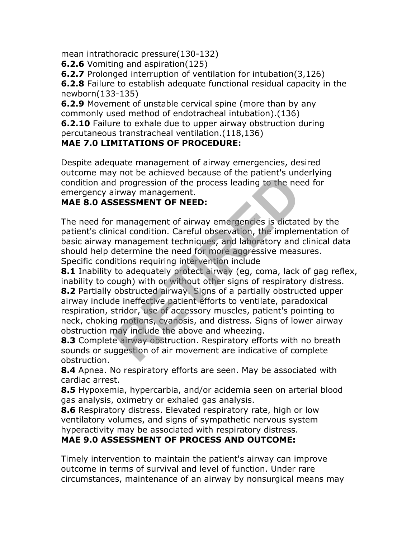mean intrathoracic pressure(130-132)

**6.2.6** Vomiting and aspiration(125)

**6.2.7** Prolonged interruption of ventilation for intubation(3,126)

**6.2.8** Failure to establish adequate functional residual capacity in the newborn(133-135)

**6.2.9** Movement of unstable cervical spine (more than by any commonly used method of endotracheal intubation).(136) **6.2.10** Failure to exhale due to upper airway obstruction during percutaneous transtracheal ventilation.(118,136)

### **MAE 7.0 LIMITATIONS OF PROCEDURE:**

Despite adequate management of airway emergencies, desired outcome may not be achieved because of the patient's underlying condition and progression of the process leading to the need for emergency airway management.

### **MAE 8.0 ASSESSMENT OF NEED:**

The need for management of airway emergencies is dictated by the patient's clinical condition. Careful observation, the implementation of basic airway management techniques, and laboratory and clinical data should help determine the need for more aggressive measures. Specific conditions requiring intervention include

**8.1** Inability to adequately protect airway (eg, coma, lack of gag reflex, inability to cough) with or without other signs of respiratory distress. **8.2** Partially obstructed airway. Signs of a partially obstructed upper airway include ineffective patient efforts to ventilate, paradoxical respiration, stridor, use of accessory muscles, patient's pointing to neck, choking motions, cyanosis, and distress. Signs of lower airway obstruction may include the above and wheezing. If progression of the process leading to the netway management.<br> **RESSMENT OF NEED:**<br> **RESSMENT OF NEED:**<br> **RESSMENT OF NEED:**<br> **RESSMENT OF NEED:**<br> **RESSMENT OF NEED:**<br> **RESSMENT OF NEED:**<br> **RESSMENT OF NEED:**<br> **RESSMENT** 

**8.3** Complete airway obstruction. Respiratory efforts with no breath sounds or suggestion of air movement are indicative of complete obstruction.

**8.4** Apnea. No respiratory efforts are seen. May be associated with cardiac arrest.

**8.5** Hypoxemia, hypercarbia, and/or acidemia seen on arterial blood gas analysis, oximetry or exhaled gas analysis.

**8.6** Respiratory distress. Elevated respiratory rate, high or low ventilatory volumes, and signs of sympathetic nervous system hyperactivity may be associated with respiratory distress.

**MAE 9.0 ASSESSMENT OF PROCESS AND OUTCOME:**

Timely intervention to maintain the patient's airway can improve outcome in terms of survival and level of function. Under rare circumstances, maintenance of an airway by nonsurgical means may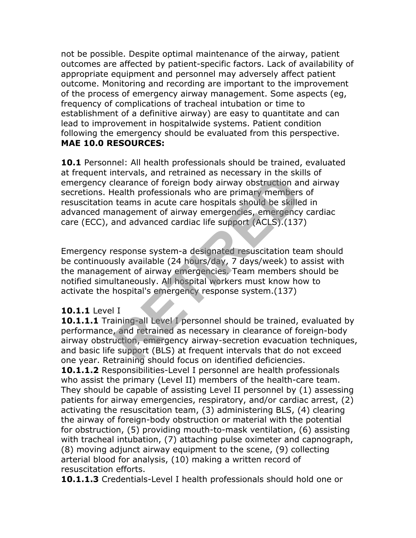not be possible. Despite optimal maintenance of the airway, patient outcomes are affected by patient-specific factors. Lack of availability of appropriate equipment and personnel may adversely affect patient outcome. Monitoring and recording are important to the improvement of the process of emergency airway management. Some aspects (eg, frequency of complications of tracheal intubation or time to establishment of a definitive airway) are easy to quantitate and can lead to improvement in hospitalwide systems. Patient condition following the emergency should be evaluated from this perspective. **MAE 10.0 RESOURCES:**

**10.1** Personnel: All health professionals should be trained, evaluated at frequent intervals, and retrained as necessary in the skills of emergency clearance of foreign body airway obstruction and airway secretions. Health professionals who are primary members of resuscitation teams in acute care hospitals should be skilled in advanced management of airway emergencies, emergency cardiac care (ECC), and advanced cardiac life support (ACLS).(137) Rearance of foreign body airway obstruction arealth professionals who are primary members<br>teams in acute care hospitals should be skille<br>anagement of airway emergencies, emergency<br>and advanced cardiac life support (ACLS).(

Emergency response system-a designated resuscitation team should be continuously available (24 hours/day, 7 days/week) to assist with the management of airway emergencies. Team members should be notified simultaneously. All hospital workers must know how to activate the hospital's emergency response system.(137)

### **10.1.1** Level I

**10.1.1.1** Training-all Level I personnel should be trained, evaluated by performance, and retrained as necessary in clearance of foreign-body airway obstruction, emergency airway-secretion evacuation techniques, and basic life support (BLS) at frequent intervals that do not exceed one year. Retraining should focus on identified deficiencies.

**10.1.1.2** Responsibilities-Level I personnel are health professionals who assist the primary (Level II) members of the health-care team. They should be capable of assisting Level II personnel by (1) assessing patients for airway emergencies, respiratory, and/or cardiac arrest, (2) activating the resuscitation team, (3) administering BLS, (4) clearing the airway of foreign-body obstruction or material with the potential for obstruction, (5) providing mouth-to-mask ventilation, (6) assisting with tracheal intubation, (7) attaching pulse oximeter and capnograph, (8) moving adjunct airway equipment to the scene, (9) collecting arterial blood for analysis, (10) making a written record of resuscitation efforts.

**10.1.1.3** Credentials-Level I health professionals should hold one or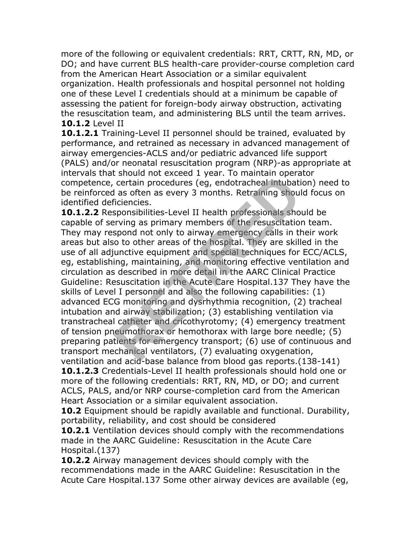more of the following or equivalent credentials: RRT, CRTT, RN, MD, or DO; and have current BLS health-care provider-course completion card from the American Heart Association or a similar equivalent organization. Health professionals and hospital personnel not holding one of these Level I credentials should at a minimum be capable of assessing the patient for foreign-body airway obstruction, activating the resuscitation team, and administering BLS until the team arrives. **10.1.2** Level II

**10.1.2.1** Training-Level II personnel should be trained, evaluated by performance, and retrained as necessary in advanced management of airway emergencies-ACLS and/or pediatric advanced life support (PALS) and/or neonatal resuscitation program (NRP)-as appropriate at intervals that should not exceed 1 year. To maintain operator competence, certain procedures (eg, endotracheal intubation) need to be reinforced as often as every 3 months. Retraining should focus on identified deficiencies.

**10.1.2.2** Responsibilities-Level II health professionals should be capable of serving as primary members of the resuscitation team. They may respond not only to airway emergency calls in their work areas but also to other areas of the hospital. They are skilled in the use of all adjunctive equipment and special techniques for ECC/ACLS, eg, establishing, maintaining, and monitoring effective ventilation and circulation as described in more detail in the AARC Clinical Practice Guideline: Resuscitation in the Acute Care Hospital.137 They have the skills of Level I personnel and also the following capabilities: (1) advanced ECG monitoring and dysrhythmia recognition, (2) tracheal intubation and airway stabilization; (3) establishing ventilation via transtracheal catheter and cricothyrotomy; (4) emergency treatment of tension pneumothorax or hemothorax with large bore needle; (5) preparing patients for emergency transport; (6) use of continuous and transport mechanical ventilators, (7) evaluating oxygenation, ventilation and acid-base balance from blood gas reports.(138-141) Example the section procedure and the section procedures (eg, endotracheal intubation as often as every 3 months. Retraining shoul<br>ficiencies.<br>Sponsibilities-Level II health professionals should interving as primary member

**10.1.2.3** Credentials-Level II health professionals should hold one or more of the following credentials: RRT, RN, MD, or DO; and current ACLS, PALS, and/or NRP course-completion card from the American Heart Association or a similar equivalent association.

**10.2** Equipment should be rapidly available and functional. Durability, portability, reliability, and cost should be considered

**10.2.1** Ventilation devices should comply with the recommendations made in the AARC Guideline: Resuscitation in the Acute Care Hospital.(137)

**10.2.2** Airway management devices should comply with the recommendations made in the AARC Guideline: Resuscitation in the Acute Care Hospital.137 Some other airway devices are available (eg,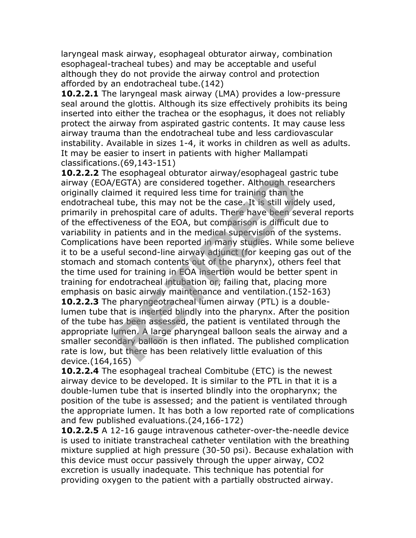laryngeal mask airway, esophageal obturator airway, combination esophageal-tracheal tubes) and may be acceptable and useful although they do not provide the airway control and protection afforded by an endotracheal tube.(142)

**10.2.2.1** The laryngeal mask airway (LMA) provides a low-pressure seal around the glottis. Although its size effectively prohibits its being inserted into either the trachea or the esophagus, it does not reliably protect the airway from aspirated gastric contents. It may cause less airway trauma than the endotracheal tube and less cardiovascular instability. Available in sizes 1-4, it works in children as well as adults. It may be easier to insert in patients with higher Mallampati classifications.(69,143-151)

**10.2.2.2** The esophageal obturator airway/esophageal gastric tube airway (EOA/EGTA) are considered together. Although researchers originally claimed it required less time for training than the endotracheal tube, this may not be the case. It is still widely used, primarily in prehospital care of adults. There have been several reports of the effectiveness of the EOA, but comparison is difficult due to variability in patients and in the medical supervision of the systems. Complications have been reported in many studies. While some believe it to be a useful second-line airway adjunct (for keeping gas out of the stomach and stomach contents out of the pharynx), others feel that the time used for training in EOA insertion would be better spent in training for endotracheal intubation or, failing that, placing more emphasis on basic airway maintenance and ventilation.(152-163) **10.2.2.3** The pharyngeotracheal lumen airway (PTL) is a doublelumen tube that is inserted blindly into the pharynx. After the position of the tube has been assessed, the patient is ventilated through the appropriate lumen. A large pharyngeal balloon seals the airway and a *EGTA*) are considered together. Although resemed it required less time for training than the l tube, this may not be the case. It is still wide prehospital care of adults. There have been se veness of the EOA, but compari

smaller secondary balloon is then inflated. The published complication rate is low, but there has been relatively little evaluation of this device.(164,165)

**10.2.2.4** The esophageal tracheal Combitube (ETC) is the newest airway device to be developed. It is similar to the PTL in that it is a double-lumen tube that is inserted blindly into the oropharynx; the position of the tube is assessed; and the patient is ventilated through the appropriate lumen. It has both a low reported rate of complications and few published evaluations.(24,166-172)

**10.2.2.5** A 12-16 gauge intravenous catheter-over-the-needle device is used to initiate transtracheal catheter ventilation with the breathing mixture supplied at high pressure (30-50 psi). Because exhalation with this device must occur passively through the upper airway, CO2 excretion is usually inadequate. This technique has potential for providing oxygen to the patient with a partially obstructed airway.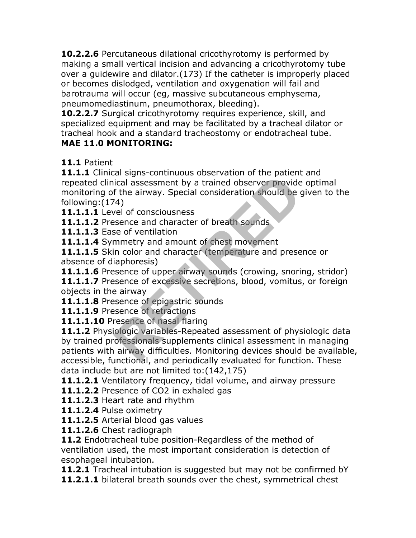**10.2.2.6** Percutaneous dilational cricothyrotomy is performed by making a small vertical incision and advancing a cricothyrotomy tube over a guidewire and dilator.(173) If the catheter is improperly placed or becomes dislodged, ventilation and oxygenation will fail and barotrauma will occur (eg, massive subcutaneous emphysema, pneumomediastinum, pneumothorax, bleeding).

**10.2.2.7** Surgical cricothyrotomy requires experience, skill, and specialized equipment and may be facilitated by a tracheal dilator or tracheal hook and a standard tracheostomy or endotracheal tube.

# **MAE 11.0 MONITORING:**

**11.1** Patient

**11.1.1** Clinical signs-continuous observation of the patient and repeated clinical assessment by a trained observer provide optimal monitoring of the airway. Special consideration should be given to the following:(174)

**11.1.1.1** Level of consciousness

11.1.1.2 Presence and character of breath sounds

**11.1.1.3** Ease of ventilation

**11.1.1.4** Symmetry and amount of chest movement

**11.1.1.5** Skin color and character (temperature and presence or absence of diaphoresis)

**11.1.1.6** Presence of upper airway sounds (crowing, snoring, stridor) **11.1.1.7** Presence of excessive secretions, blood, vomitus, or foreign objects in the airway

**11.1.1.8** Presence of epigastric sounds

**11.1.1.9** Presence of retractions

**11.1.1.10** Presence of nasal flaring

**11.1.2** Physiologic variables-Repeated assessment of physiologic data by trained professionals supplements clinical assessment in managing patients with airway difficulties. Monitoring devices should be available, accessible, functional, and periodically evaluated for function. These data include but are not limited to:(142,175) ical assessment by a trained observer provide<br>ical assessment by a trained observer provide<br> $\langle A \rangle$ <br>vel of consciousness<br>sence and character of breath sounds<br>see of ventilation<br>mmetry and amount of chest movement<br>in color

**11.1.2.1** Ventilatory frequency, tidal volume, and airway pressure

**11.1.2.2** Presence of CO2 in exhaled gas

**11.1.2.3** Heart rate and rhythm

**11.1.2.4** Pulse oximetry

**11.1.2.5** Arterial blood gas values

**11.1.2.6** Chest radiograph

**11.2** Endotracheal tube position-Regardless of the method of ventilation used, the most important consideration is detection of esophageal intubation.

**11.2.1** Tracheal intubation is suggested but may not be confirmed bY

**11.2.1.1** bilateral breath sounds over the chest, symmetrical chest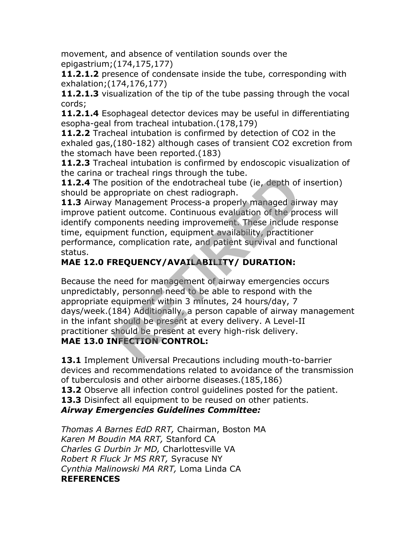movement, and absence of ventilation sounds over the epigastrium;(174,175,177)

**11.2.1.2** presence of condensate inside the tube, corresponding with exhalation;(174,176,177)

**11.2.1.3** visualization of the tip of the tube passing through the vocal cords;

**11.2.1.4** Esophageal detector devices may be useful in differentiating esopha-geal from tracheal intubation.(178,179)

**11.2.2** Tracheal intubation is confirmed by detection of CO2 in the exhaled gas,(180-182) although cases of transient CO2 excretion from the stomach have been reported.(183)

**11.2.3** Tracheal intubation is confirmed by endoscopic visualization of the carina or tracheal rings through the tube.

**11.2.4** The position of the endotracheal tube (ie, depth of insertion) should be appropriate on chest radiograph.

**11.3** Airway Management Process-a properly managed airway may improve patient outcome. Continuous evaluation of the process will identify components needing improvement. These include response time, equipment function, equipment availability, practitioner performance, complication rate, and patient survival and functional status.

# **MAE 12.0 FREQUENCY/AVAILABILITY/ DURATION:**

Because the need for management of airway emergencies occurs unpredictably, personnel need to be able to respond with the appropriate equipment within 3 minutes, 24 hours/day, 7 days/week.(184) Additionally, a person capable of airway management in the infant should be present at every delivery. A Level-II practitioner should be present at every high-risk delivery. **MAE 13.0 INFECTION CONTROL:** racriear migs undegri the tube.<br>
Reporting of the endotracheal tube (ie, depth of<br>
propriate on chest radiograph.<br>
Management Process-a properly managed air<br>
ent outcome. Continuous evaluation of the pro<br>
pronents needing

**13.1** Implement Universal Precautions including mouth-to-barrier devices and recommendations related to avoidance of the transmission

of tuberculosis and other airborne diseases.(185,186)

**13.2** Observe all infection control guidelines posted for the patient.

**13.3** Disinfect all equipment to be reused on other patients.

## *Airway Emergencies Guidelines Committee:*

*Thomas A Barnes EdD RRT,* Chairman, Boston MA *Karen M Boudin MA RRT,* Stanford CA *Charles G Durbin Jr MD,* Charlottesville VA *Robert R Fluck Jr MS RRT,* Syracuse NY *Cynthia Malinowski MA RRT,* Loma Linda CA **REFERENCES**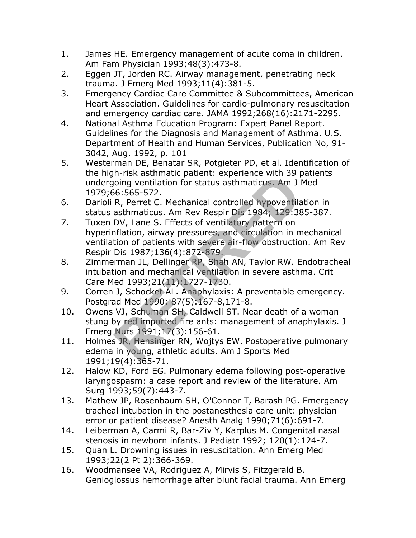- 1. James HE. Emergency management of acute coma in children. Am Fam Physician 1993;48(3):473-8.
- 2. Eggen JT, Jorden RC. Airway management, penetrating neck trauma. J Emerg Med 1993;11(4):381-5.
- 3. Emergency Cardiac Care Committee & Subcommittees, American Heart Association. Guidelines for cardio-pulmonary resuscitation and emergency cardiac care. JAMA 1992;268(16):2171-2295.
- 4. National Asthma Education Program: Expert Panel Report. Guidelines for the Diagnosis and Management of Asthma. U.S. Department of Health and Human Services, Publication No, 91- 3042, Aug. 1992, p. 101
- 5. Westerman DE, Benatar SR, Potgieter PD, et al. Identification of the high-risk asthmatic patient: experience with 39 patients undergoing ventilation for status asthmaticus. Am J Med 1979;66:565-572.
- 6. Darioli R, Perret C. Mechanical controlled hypoventilation in status asthmaticus. Am Rev Respir Dis 1984; 129:385-387.
- 7. Tuxen DV, Lane S. Effects of ventilatory pattern on hyperinflation, airway pressures, and circulation in mechanical ventilation of patients with severe air-flow obstruction. Am Rev Respir Dis 1987;136(4):872-879. in Tisk assumede patent: experience with 35 poing ventilation for status asthmaticus. Am J 16:565-572.<br>
R, Perret C. Mechanical controlled hypoventilasthmaticus. Am Rev Respir Dis 1984; 129:38<br>
DV, Lane S. Effects of venti
- 8. Zimmerman JL, Dellinger RP, Shah AN, Taylor RW. Endotracheal intubation and mechanical ventilation in severe asthma. Crit Care Med 1993;21(11):1727-1730.
- 9. Corren J, Schocket AL. Anaphylaxis: A preventable emergency. Postgrad Med 1990; 87(5):167-8,171-8.
- 10. Owens VJ, Schuman SH, Caldwell ST. Near death of a woman stung by red imported fire ants: management of anaphylaxis. J Emerg Nurs 1991;17(3):156-61.
- 11. Holmes JR, Hensinger RN, Wojtys EW. Postoperative pulmonary edema in young, athletic adults. Am J Sports Med 1991;19(4):365-71.
- 12. Halow KD, Ford EG. Pulmonary edema following post-operative laryngospasm: a case report and review of the literature. Am Surg 1993;59(7):443-7.
- 13. Mathew JP, Rosenbaum SH, O'Connor T, Barash PG. Emergency tracheal intubation in the postanesthesia care unit: physician error or patient disease? Anesth Analg 1990;71(6):691-7.
- 14. Leiberman A, Carmi R, Bar-Ziv Y, Karplus M. Congenital nasal stenosis in newborn infants. J Pediatr 1992; 120(1):124-7.
- 15. Quan L. Drowning issues in resuscitation. Ann Emerg Med 1993;22(2 Pt 2):366-369.
- 16. Woodmansee VA, Rodriguez A, Mirvis S, Fitzgerald B. Genioglossus hemorrhage after blunt facial trauma. Ann Emerg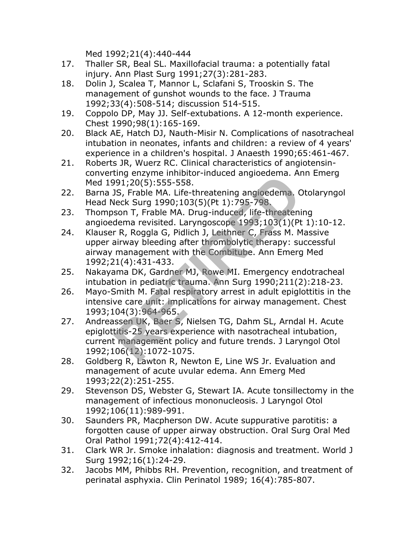Med 1992;21(4):440-444

- 17. Thaller SR, Beal SL. Maxillofacial trauma: a potentially fatal injury. Ann Plast Surg 1991;27(3):281-283.
- 18. Dolin J, Scalea T, Mannor L, Sclafani S, Trooskin S. The management of gunshot wounds to the face. J Trauma 1992;33(4):508-514; discussion 514-515.
- 19. Coppolo DP, May JJ. Self-extubations. A 12-month experience. Chest 1990;98(1):165-169.
- 20. Black AE, Hatch DJ, Nauth-Misir N. Complications of nasotracheal intubation in neonates, infants and children: a review of 4 years' experience in a children's hospital. J Anaesth 1990;65:461-467.
- 21. Roberts JR, Wuerz RC. Clinical characteristics of angiotensinconverting enzyme inhibitor-induced angioedema. Ann Emerg Med 1991;20(5):555-558.
- 22. Barna JS, Frable MA. Life-threatening angioedema. Otolaryngol Head Neck Surg 1990;103(5)(Pt 1):795-798.
- 23. Thompson T, Frable MA. Drug-induced, life-threatening angioedema revisited. Laryngoscope 1993;103(1)(Pt 1):10-12.
- 24. Klauser R, Roggla G, Pidlich J, Leithner C, Frass M. Massive upper airway bleeding after thrombolytic therapy: successful airway management with the Combitube. Ann Emerg Med 1992;21(4):431-433.
- 25. Nakayama DK, Gardner MJ, Rowe MI. Emergency endotracheal intubation in pediatric trauma. Ann Surg 1990;211(2):218-23.
- 26. Mayo-Smith M. Fatal respiratory arrest in adult epiglottitis in the intensive care unit: implications for airway management. Chest 1993;104(3):964-965.
- 27. Andreassen UK, Baer S, Nielsen TG, Dahm SL, Arndal H. Acute epiglottitis-25 years experience with nasotracheal intubation, current management policy and future trends. J Laryngol Otol 1992;106(12):1072-1075. 991;20(5):555-558.<br>
191;20(5):555-558.<br>
IS, Frable MA. Life-threatening angioedema. C<br>
leck Surg 1990;103(5)(Pt 1):795-798.<br>
son T, Frable MA. Drug-induced, life-threatenin<br>
dema revisited. Laryngoscope 1993;103(1)(Pt<br>
r R
- 28. Goldberg R, Lawton R, Newton E, Line WS Jr. Evaluation and management of acute uvular edema. Ann Emerg Med 1993;22(2):251-255.
- 29. Stevenson DS, Webster G, Stewart IA. Acute tonsillectomy in the management of infectious mononucleosis. J Laryngol Otol 1992;106(11):989-991.
- 30. Saunders PR, Macpherson DW. Acute suppurative parotitis: a forgotten cause of upper airway obstruction. Oral Surg Oral Med Oral Pathol 1991;72(4):412-414.
- 31. Clark WR Jr. Smoke inhalation: diagnosis and treatment. World J Surg 1992;16(1):24-29.
- 32. Jacobs MM, Phibbs RH. Prevention, recognition, and treatment of perinatal asphyxia. Clin Perinatol 1989; 16(4):785-807.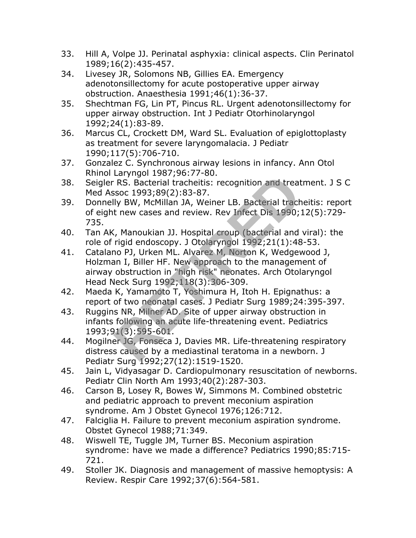- 33. Hill A, Volpe JJ. Perinatal asphyxia: clinical aspects. Clin Perinatol 1989;16(2):435-457.
- 34. Livesey JR, Solomons NB, Gillies EA. Emergency adenotonsillectomy for acute postoperative upper airway obstruction. Anaesthesia 1991;46(1):36-37.
- 35. Shechtman FG, Lin PT, Pincus RL. Urgent adenotonsillectomy for upper airway obstruction. Int J Pediatr Otorhinolaryngol 1992;24(1):83-89.
- 36. Marcus CL, Crockett DM, Ward SL. Evaluation of epiglottoplasty as treatment for severe laryngomalacia. J Pediatr 1990;117(5):706-710.
- 37. Gonzalez C. Synchronous airway lesions in infancy. Ann Otol Rhinol Laryngol 1987;96:77-80.
- 38. Seigler RS. Bacterial tracheitis: recognition and treatment. J S C Med Assoc 1993;89(2):83-87.
- 39. Donnelly BW, McMillan JA, Weiner LB. Bacterial tracheitis: report of eight new cases and review. Rev Infect Dis 1990;12(5):729- 735.
- 40. Tan AK, Manoukian JJ. Hospital croup (bacterial and viral): the role of rigid endoscopy. J Otolaryngol 1992;21(1):48-53.
- 41. Catalano PJ, Urken ML. Alvarez M, Norton K, Wedgewood J, Holzman I, Biller HF. New approach to the management of airway obstruction in "high risk" neonates. Arch Otolaryngol Head Neck Surg 1992;118(3):306-309. Laryingor 1907,90.77 00.<br>
RS. Bacterial tracheitis: recognition and treat<br>
ssoc 1993;89(2):83-87.<br>
Ily BW, McMillan JA, Weiner LB. Bacterial trach<br>
t new cases and review. Rev Infect Dis 1990;<br>
(, Manoukian JJ. Hospital cr
- 42. Maeda K, Yamamoto T, Yoshimura H, Itoh H. Epignathus: a report of two neonatal cases. J Pediatr Surg 1989;24:395-397.
- 43. Ruggins NR, Milner AD. Site of upper airway obstruction in infants following an acute life-threatening event. Pediatrics 1993;91(3):595-601.
- 44. Mogilner JG, Fonseca J, Davies MR. Life-threatening respiratory distress caused by a mediastinal teratoma in a newborn. J Pediatr Surg 1992;27(12):1519-1520.
- 45. Jain L, Vidyasagar D. Cardiopulmonary resuscitation of newborns. Pediatr Clin North Am 1993;40(2):287-303.
- 46. Carson B, Losey R, Bowes W, Simmons M. Combined obstetric and pediatric approach to prevent meconium aspiration syndrome. Am J Obstet Gynecol 1976;126:712.
- 47. Falciglia H. Failure to prevent meconium aspiration syndrome. Obstet Gynecol 1988;71:349.
- 48. Wiswell TE, Tuggle JM, Turner BS. Meconium aspiration syndrome: have we made a difference? Pediatrics 1990;85:715- 721.
- 49. Stoller JK. Diagnosis and management of massive hemoptysis: A Review. Respir Care 1992;37(6):564-581.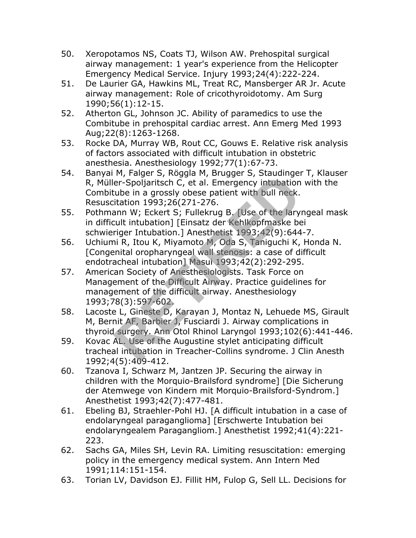- 50. Xeropotamos NS, Coats TJ, Wilson AW. Prehospital surgical airway management: 1 year's experience from the Helicopter Emergency Medical Service. Injury 1993;24(4):222-224.
- 51. De Laurier GA, Hawkins ML, Treat RC, Mansberger AR Jr. Acute airway management: Role of cricothyroidotomy. Am Surg 1990;56(1):12-15.
- 52. Atherton GL, Johnson JC. Ability of paramedics to use the Combitube in prehospital cardiac arrest. Ann Emerg Med 1993 Aug;22(8):1263-1268.
- 53. Rocke DA, Murray WB, Rout CC, Gouws E. Relative risk analysis of factors associated with difficult intubation in obstetric anesthesia. Anesthesiology 1992;77(1):67-73.
- 54. Banyai M, Falger S, Röggla M, Brugger S, Staudinger T, Klauser R, Müller-Spoljaritsch C, et al. Emergency intubation with the Combitube in a grossly obese patient with bull neck. Resuscitation 1993;26(271-276.
- 55. Pothmann W; Eckert S; Fullekrug B. [Use of the laryngeal mask in difficult intubation] [Einsatz der Kehlkopfmaske bei schwieriger Intubation.] Anesthetist 1993;42(9):644-7.
- 56. Uchiumi R, Itou K, Miyamoto M, Oda S, Taniguchi K, Honda N. [Congenital oropharyngeal wall stenosis: a case of difficult endotracheal intubation] Masui 1993;42(2):292-295.
- 57. American Society of Anesthesiologists. Task Force on Management of the Difficult Airway. Practice guidelines for management of the difficult airway. Anesthesiology 1993;78(3):597-602. Fr, Fager 3, Roggia Fr, Bragger 3, Staatinger<br>er-Spoljaritsch C, et al. Emergency intubation<br>cube in a grossly obese patient with bull neck.<br>itation 1993;26(271-276.<br>ann W; Eckert S; Fullekrug B. [Use of the lary<br>cult intu
- 58. Lacoste L, Gineste D, Karayan J, Montaz N, Lehuede MS, Girault M, Bernit AF, Barbier J, Fusciardi J. Airway complications in thyroid surgery. Ann Otol Rhinol Laryngol 1993;102(6):441-446.
- 59. Kovac AL. Use of the Augustine stylet anticipating difficult tracheal intubation in Treacher-Collins syndrome. J Clin Anesth 1992;4(5):409-412.
- 60. Tzanova I, Schwarz M, Jantzen JP. Securing the airway in children with the Morquio-Brailsford syndrome] [Die Sicherung der Atemwege von Kindern mit Morquio-Brailsford-Syndrom.] Anesthetist 1993;42(7):477-481.
- 61. Ebeling BJ, Straehler-Pohl HJ. [A difficult intubation in a case of endolaryngeal paraganglioma] [Erschwerte Intubation bei endolaryngealem Paragangliom.] Anesthetist 1992;41(4):221- 223.
- 62. Sachs GA, Miles SH, Levin RA. Limiting resuscitation: emerging policy in the emergency medical system. Ann Intern Med 1991;114:151-154.
- 63. Torian LV, Davidson EJ. Fillit HM, Fulop G, Sell LL. Decisions for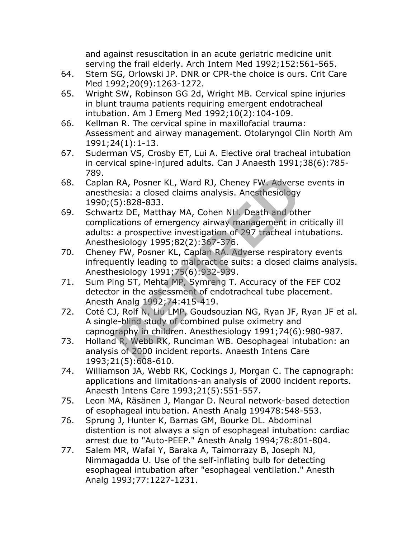and against resuscitation in an acute geriatric medicine unit serving the frail elderly. Arch Intern Med 1992;152:561-565.

- 64. Stern SG, Orlowski JP. DNR or CPR-the choice is ours. Crit Care Med 1992;20(9):1263-1272.
- 65. Wright SW, Robinson GG 2d, Wright MB. Cervical spine injuries in blunt trauma patients requiring emergent endotracheal intubation. Am J Emerg Med 1992;10(2):104-109.
- 66. Kellman R. The cervical spine in maxillofacial trauma: Assessment and airway management. Otolaryngol Clin North Am 1991;24(1):1-13.
- 67. Suderman VS, Crosby ET, Lui A. Elective oral tracheal intubation in cervical spine-injured adults. Can J Anaesth 1991;38(6):785- 789.
- 68. Caplan RA, Posner KL, Ward RJ, Cheney FW. Adverse events in anesthesia: a closed claims analysis. Anesthesiology 1990;(5):828-833.
- 69. Schwartz DE, Matthay MA, Cohen NH. Death and other complications of emergency airway management in critically ill adults: a prospective investigation of 297 tracheal intubations. Anesthesiology 1995;82(2):367-376. RA, Posner KL, Ward RJ, Cheney FW. Adversesia: a closed claims analysis. Anesthesiology<br>5):828-833.<br>Trtz DE, Matthay MA, Cohen NH. Death and oth<br>cations of emergency airway management in a<br>a prospective investigation of 29
- 70. Cheney FW, Posner KL, Caplan RA. Adverse respiratory events infrequently leading to malpractice suits: a closed claims analysis. Anesthesiology 1991;75(6):932-939.
- 71. Sum Ping ST, Mehta MP, Symreng T. Accuracy of the FEF CO2 detector in the assessment of endotracheal tube placement. Anesth Analg 1992;74:415-419.
- 72. Coté CJ, Rolf N, Liu LMP, Goudsouzian NG, Ryan JF, Ryan JF et al. A single-blind study of combined pulse oximetry and capnography in children. Anesthesiology 1991;74(6):980-987.
- 73. Holland R, Webb RK, Runciman WB. Oesophageal intubation: an analysis of 2000 incident reports. Anaesth Intens Care 1993;21(5):608-610.
- 74. Williamson JA, Webb RK, Cockings J, Morgan C. The capnograph: applications and limitations-an analysis of 2000 incident reports. Anaesth Intens Care 1993;21(5):551-557.
- 75. Leon MA, Räsänen J, Mangar D. Neural network-based detection of esophageal intubation. Anesth Analg 199478:548-553.
- 76. Sprung J, Hunter K, Barnas GM, Bourke DL. Abdominal distention is not always a sign of esophageal intubation: cardiac arrest due to "Auto-PEEP." Anesth Analg 1994;78:801-804.
- 77. Salem MR, Wafai Y, Baraka A, Taimorrazy B, Joseph NJ, Nimmagadda U. Use of the self-inflating bulb for detecting esophageal intubation after "esophageal ventilation." Anesth Analg 1993;77:1227-1231.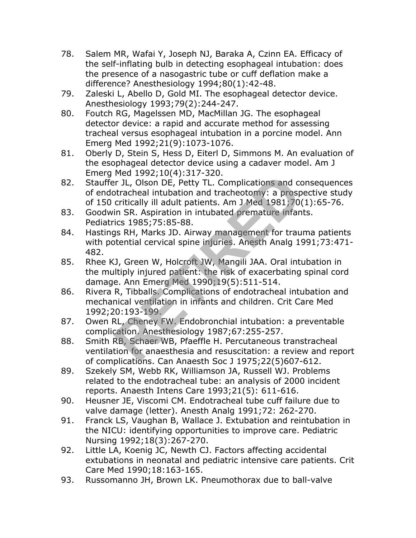- 78. Salem MR, Wafai Y, Joseph NJ, Baraka A, Czinn EA. Efficacy of the self-inflating bulb in detecting esophageal intubation: does the presence of a nasogastric tube or cuff deflation make a difference? Anesthesiology 1994;80(1):42-48.
- 79. Zaleski L, Abello D, Gold MI. The esophageal detector device. Anesthesiology 1993;79(2):244-247.
- 80. Foutch RG, Magelssen MD, MacMillan JG. The esophageal detector device: a rapid and accurate method for assessing tracheal versus esophageal intubation in a porcine model. Ann Emerg Med 1992;21(9):1073-1076.
- 81. Oberly D, Stein S, Hess D, Eiterl D, Simmons M. An evaluation of the esophageal detector device using a cadaver model. Am J Emerg Med 1992;10(4):317-320.
- 82. Stauffer JL, Olson DE, Petty TL. Complications and consequences of endotracheal intubation and tracheotomy: a prospective study of 150 critically ill adult patients. Am J Med 1981;70(1):65-76. Freed 1992,10(4).317 920.<br>
Retainant and tracheotomy: a prosp<br>
critically ill adult patients. Am J Med 1981;70<br>
in SR. Aspiration in intubated premature infan<br>
rics 1985;75:85-88.<br>
JSR RH, Marks JD. Airway management for t
- 83. Goodwin SR. Aspiration in intubated premature infants. Pediatrics 1985;75:85-88.
- 84. Hastings RH, Marks JD. Airway management for trauma patients with potential cervical spine injuries. Anesth Analg 1991;73:471- 482.
- 85. Rhee KJ, Green W, Holcroft JW, Mangili JAA. Oral intubation in the multiply injured patient: the risk of exacerbating spinal cord damage. Ann Emerg Med 1990;19(5):511-514.
- 86. Rivera R, Tibballs. Complications of endotracheal intubation and mechanical ventilation in infants and children. Crit Care Med 1992;20:193-199.
- 87. Owen RL, Cheney FW. Endobronchial intubation: a preventable complication. Anesthesiology 1987;67:255-257.
- 88. Smith RB, Schaer WB, Pfaeffle H. Percutaneous transtracheal ventilation for anaesthesia and resuscitation: a review and report of complications. Can Anaesth Soc J 1975;22(5)607-612.
- 89. Szekely SM, Webb RK, Williamson JA, Russell WJ. Problems related to the endotracheal tube: an analysis of 2000 incident reports. Anaesth Intens Care 1993;21(5): 611-616.
- 90. Heusner JE, Viscomi CM. Endotracheal tube cuff failure due to valve damage (letter). Anesth Analg 1991;72: 262-270.
- 91. Franck LS, Vaughan B, Wallace J. Extubation and reintubation in the NICU: identifying opportunities to improve care. Pediatric Nursing 1992;18(3):267-270.
- 92. Little LA, Koenig JC, Newth CJ. Factors affecting accidental extubations in neonatal and pediatric intensive care patients. Crit Care Med 1990;18:163-165.
- 93. Russomanno JH, Brown LK. Pneumothorax due to ball-valve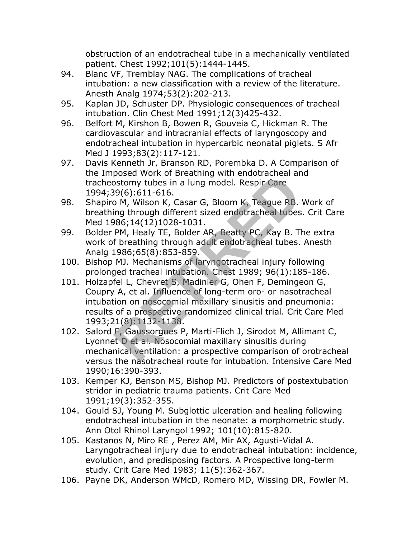obstruction of an endotracheal tube in a mechanically ventilated patient. Chest 1992;101(5):1444-1445.

- 94. Blanc VF, Tremblay NAG. The complications of tracheal intubation: a new classification with a review of the literature. Anesth Analg 1974;53(2):202-213.
- 95. Kaplan JD, Schuster DP. Physiologic consequences of tracheal intubation. Clin Chest Med 1991;12(3)425-432.
- 96. Belfort M, Kirshon B, Bowen R, Gouveia C, Hickman R. The cardiovascular and intracranial effects of laryngoscopy and endotracheal intubation in hypercarbic neonatal piglets. S Afr Med J 1993;83(2):117-121.
- 97. Davis Kenneth Jr, Branson RD, Porembka D. A Comparison of the Imposed Work of Breathing with endotracheal and tracheostomy tubes in a lung model. Respir Care 1994;39(6):611-616.
- 98. Shapiro M, Wilson K, Casar G, Bloom K, Teague RB. Work of breathing through different sized endotracheal tubes. Crit Care Med 1986;14(12)1028-1031.
- 99. Bolder PM, Healy TE, Bolder AR, Beatty PC, Kay B. The extra work of breathing through adult endotracheal tubes. Anesth Analg 1986;65(8):853-859.
- 100. Bishop MJ. Mechanisms of laryngotracheal injury following prolonged tracheal intubation. Chest 1989; 96(1):185-186.
- 101. Holzapfel L, Chevret S, Madinier G, Ohen F, Demingeon G, Coupry A, et al. Influence of long-term oro- or nasotracheal intubation on nosocomial maxillary sinusitis and pneumonia: results of a prospective randomized clinical trial. Crit Care Med 1993;21(8):1132-1138. bysea work of breathing with entotractiear and<br>
Stomy tubes in a lung model. Respir Care<br>
99(6):611-616.<br>
DM, Wilson K, Casar G, Bloom K, Teague RB.<br>
RET Internal different sized endotracheal tubes<br>
986;14(12)1028-1031.<br>
P
- 102. Salord F, Gaussorgues P, Marti-Flich J, Sirodot M, Allimant C, Lyonnet D et al. Nosocomial maxillary sinusitis during mechanical ventilation: a prospective comparison of orotracheal versus the nasotracheal route for intubation. Intensive Care Med 1990;16:390-393.
- 103. Kemper KJ, Benson MS, Bishop MJ. Predictors of postextubation stridor in pediatric trauma patients. Crit Care Med 1991;19(3):352-355.
- 104. Gould SJ, Young M. Subglottic ulceration and healing following endotracheal intubation in the neonate: a morphometric study. Ann Otol Rhinol Laryngol 1992; 101(10):815-820.
- 105. Kastanos N, Miro RE , Perez AM, Mir AX, Agusti-Vidal A. Laryngotracheal injury due to endotracheal intubation: incidence, evolution, and predisposing factors. A Prospective long-term study. Crit Care Med 1983; 11(5):362-367.
- 106. Payne DK, Anderson WMcD, Romero MD, Wissing DR, Fowler M.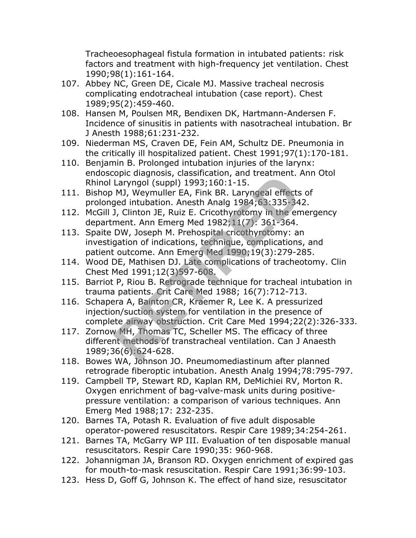Tracheoesophageal fistula formation in intubated patients: risk factors and treatment with high-frequency jet ventilation. Chest 1990;98(1):161-164.

- 107. Abbey NC, Green DE, Cicale MJ. Massive tracheal necrosis complicating endotracheal intubation (case report). Chest 1989;95(2):459-460.
- 108. Hansen M, Poulsen MR, Bendixen DK, Hartmann-Andersen F. Incidence of sinusitis in patients with nasotracheal intubation. Br J Anesth 1988;61:231-232.
- 109. Niederman MS, Craven DE, Fein AM, Schultz DE. Pneumonia in the critically ill hospitalized patient. Chest 1991;97(1):170-181.
- 110. Benjamin B. Prolonged intubation injuries of the larynx: endoscopic diagnosis, classification, and treatment. Ann Otol Rhinol Laryngol (suppl) 1993;160:1-15.
- 111. Bishop MJ, Weymuller EA, Fink BR. Laryngeal effects of prolonged intubation. Anesth Analg 1984;63:335-342.
- 112. McGill J, Clinton JE, Ruiz E. Cricothyrotomy in the emergency department. Ann Emerg Med 1982;11(7): 361-364.
- 113. Spaite DW, Joseph M. Prehospital cricothyrotomy: an investigation of indications, technique, complications, and patient outcome. Ann Emerg Med 1990;19(3):279-285.
- 114. Wood DE, Mathisen DJ. Late complications of tracheotomy. Clin Chest Med 1991;12(3)597-608.
- 115. Barriot P, Riou B. Retrograde technique for tracheal intubation in trauma patients. Crit Care Med 1988; 16(7):712-713.
- 116. Schapera A, Bainton CR, Kraemer R, Lee K. A pressurized injection/suction system for ventilation in the presence of complete airway obstruction. Crit Care Med 1994;22(2):326-333. Laryngol (suppl) 1993;160:1-15.<br>
MJ, Weymuller EA, Fink BR. Laryngeal effects<br>
ged intubation. Anesth Analg 1984;63:335-34<br>
J, Clinton JE, Ruiz E. Cricothyrotomy in the em<br>
ment. Ann Emerg Med 1982;11(7): 361-364.<br>
DW, Jos
- 117. Zornow MH, Thomas TC, Scheller MS. The efficacy of three different methods of transtracheal ventilation. Can J Anaesth 1989;36(6):624-628.
- 118. Bowes WA, Johnson JO. Pneumomediastinum after planned retrograde fiberoptic intubation. Anesth Analg 1994;78:795-797.
- 119. Campbell TP, Stewart RD, Kaplan RM, DeMichiei RV, Morton R. Oxygen enrichment of bag-valve-mask units during positivepressure ventilation: a comparison of various techniques. Ann Emerg Med 1988;17: 232-235.
- 120. Barnes TA, Potash R. Evaluation of five adult disposable operator-powered resuscitators. Respir Care 1989;34:254-261.
- 121. Barnes TA, McGarry WP III. Evaluation of ten disposable manual resuscitators. Respir Care 1990;35: 960-968.
- 122. Johannigman JA, Branson RD. Oxygen enrichment of expired gas for mouth-to-mask resuscitation. Respir Care 1991;36:99-103.
- 123. Hess D, Goff G, Johnson K. The effect of hand size, resuscitator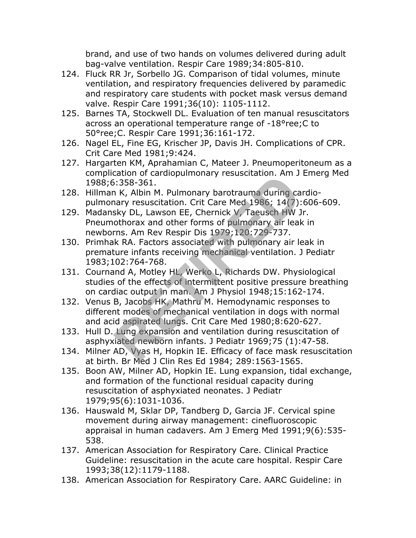brand, and use of two hands on volumes delivered during adult bag-valve ventilation. Respir Care 1989;34:805-810.

- 124. Fluck RR Jr, Sorbello JG. Comparison of tidal volumes, minute ventilation, and respiratory frequencies delivered by paramedic and respiratory care students with pocket mask versus demand valve. Respir Care 1991;36(10): 1105-1112.
- 125. Barnes TA, Stockwell DL. Evaluation of ten manual resuscitators across an operational temperature range of -18°ree;C to 50°ree;C. Respir Care 1991;36:161-172.
- 126. Nagel EL, Fine EG, Krischer JP, Davis JH. Complications of CPR. Crit Care Med 1981;9:424.
- 127. Hargarten KM, Aprahamian C, Mateer J. Pneumoperitoneum as a complication of cardiopulmonary resuscitation. Am J Emerg Med 1988;6:358-361.
- 128. Hillman K, Albin M. Pulmonary barotrauma during cardiopulmonary resuscitation. Crit Care Med 1986; 14(7):606-609.
- 129. Madansky DL, Lawson EE, Chernick V, Taeusch HW Jr. Pneumothorax and other forms of pulmonary air leak in newborns. Am Rev Respir Dis 1979;120:729-737.
- 130. Primhak RA. Factors associated with pulmonary air leak in premature infants receiving mechanical ventilation. J Pediatr 1983;102:764-768. 1.358-361.<br>
I. K, Albin M. Pulmonary barotrauma during cannomy resuscitation. Crit Care Med 1986; 14(7):<br>
Sky DL, Lawson EE, Chernick V, Taeusch HW J<br>
othorax and other forms of pulmonary air leak<br>
rms. Am Rev Respir Dis 1
- 131. Cournand A, Motley HL, Werko L, Richards DW. Physiological studies of the effects of intermittent positive pressure breathing on cardiac output in man. Am J Physiol 1948;15:162-174.
- 132. Venus B, Jacobs HK, Mathru M. Hemodynamic responses to different modes of mechanical ventilation in dogs with normal and acid aspirated lungs. Crit Care Med 1980;8:620-627.
- 133. Hull D. Lung expansion and ventilation during resuscitation of asphyxiated newborn infants. J Pediatr 1969;75 (1):47-58.
- 134. Milner AD, Vyas H, Hopkin IE. Efficacy of face mask resuscitation at birth. Br Med J Clin Res Ed 1984; 289:1563-1565.
- 135. Boon AW, Milner AD, Hopkin IE. Lung expansion, tidal exchange, and formation of the functional residual capacity during resuscitation of asphyxiated neonates. J Pediatr 1979;95(6):1031-1036.
- 136. Hauswald M, Sklar DP, Tandberg D, Garcia JF. Cervical spine movement during airway management: cinefluoroscopic appraisal in human cadavers. Am J Emerg Med 1991;9(6):535- 538.
- 137. American Association for Respiratory Care. Clinical Practice Guideline: resuscitation in the acute care hospital. Respir Care 1993;38(12):1179-1188.
- 138. American Association for Respiratory Care. AARC Guideline: in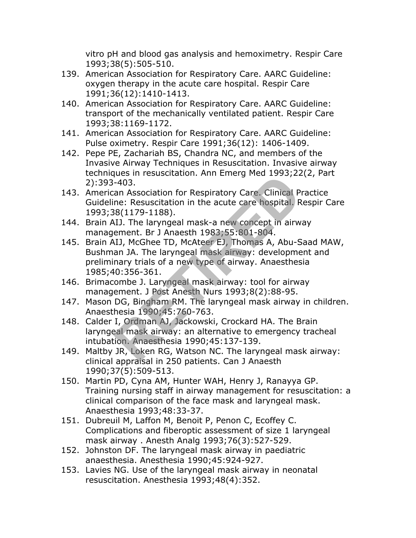vitro pH and blood gas analysis and hemoximetry. Respir Care 1993;38(5):505-510.

- 139. American Association for Respiratory Care. AARC Guideline: oxygen therapy in the acute care hospital. Respir Care 1991;36(12):1410-1413.
- 140. American Association for Respiratory Care. AARC Guideline: transport of the mechanically ventilated patient. Respir Care 1993;38:1169-1172.
- 141. American Association for Respiratory Care. AARC Guideline: Pulse oximetry. Respir Care 1991;36(12): 1406-1409.
- 142. Pepe PE, Zachariah BS, Chandra NC, and members of the Invasive Airway Techniques in Resuscitation. Invasive airway techniques in resuscitation. Ann Emerg Med 1993;22(2, Part 2):393-403.
- 143. American Association for Respiratory Care. Clinical Practice Guideline: Resuscitation in the acute care hospital. Respir Care 1993;38(1179-1188).
- 144. Brain AIJ. The laryngeal mask-a new concept in airway management. Br J Anaesth 1983;55:801-804.
- 145. Brain AIJ, McGhee TD, McAteer EJ, Thomas A, Abu-Saad MAW, Bushman JA. The laryngeal mask airway: development and preliminary trials of a new type of airway. Anaesthesia 1985;40:356-361. 1403.<br>
Association for Respiratory Care. Clinical P<br>
ne: Resuscitation in the acute care hospital. R<br>
RETIRED 1188).<br>
RETIRED 1188.<br>
RETIRED 1188.<br>
RETIRED 1188.<br>
RETIRED 1188.<br>
RETIRED 1188.<br>
RETIRED 1188.<br>
RETIRED 1188.<br>
- 146. Brimacombe J. Laryngeal mask airway: tool for airway management. J Post Anesth Nurs 1993;8(2):88-95.
- 147. Mason DG, Bingham RM. The laryngeal mask airway in children. Anaesthesia 1990;45:760-763.
- 148. Calder I, Ordman AJ, Jackowski, Crockard HA. The Brain laryngeal mask airway: an alternative to emergency tracheal intubation. Anaesthesia 1990;45:137-139.
- 149. Maltby JR, Loken RG, Watson NC. The laryngeal mask airway: clinical appraisal in 250 patients. Can J Anaesth 1990;37(5):509-513.
- 150. Martin PD, Cyna AM, Hunter WAH, Henry J, Ranayya GP. Training nursing staff in airway management for resuscitation: a clinical comparison of the face mask and laryngeal mask. Anaesthesia 1993;48:33-37.
- 151. Dubreuil M, Laffon M, Benoit P, Penon C, Ecoffey C. Complications and fiberoptic assessment of size 1 laryngeal mask airway . Anesth Analg 1993;76(3):527-529.
- 152. Johnston DF. The laryngeal mask airway in paediatric anaesthesia. Anesthesia 1990;45:924-927.
- 153. Lavies NG. Use of the laryngeal mask airway in neonatal resuscitation. Anesthesia 1993;48(4):352.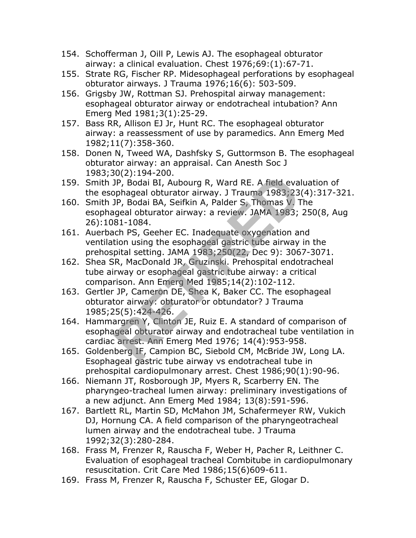- 154. Schofferman J, Oill P, Lewis AJ. The esophageal obturator airway: a clinical evaluation. Chest 1976;69:(1):67-71.
- 155. Strate RG, Fischer RP. Midesophageal perforations by esophageal obturator airways. J Trauma 1976;16(6): 503-509.
- 156. Grigsby JW, Rottman SJ. Prehospital airway management: esophageal obturator airway or endotracheal intubation? Ann Emerg Med 1981;3(1):25-29.
- 157. Bass RR, Allison EJ Jr, Hunt RC. The esophageal obturator airway: a reassessment of use by paramedics. Ann Emerg Med 1982;11(7):358-360.
- 158. Donen N, Tweed WA, Dashfsky S, Guttormson B. The esophageal obturator airway: an appraisal. Can Anesth Soc J 1983;30(2):194-200.
- 159. Smith JP, Bodai BI, Aubourg R, Ward RE. A field evaluation of the esophageal obturator airway. J Trauma 1983;23(4):317-321.
- 160. Smith JP, Bodai BA, Seifkin A, Palder S, Thomas V. The esophageal obturator airway: a review. JAMA 1983; 250(8, Aug 26):1081-1084.
- 161. Auerbach PS, Geeher EC. Inadequate oxygenation and ventilation using the esophageal gastric tube airway in the prehospital setting. JAMA 1983;250(22, Dec 9): 3067-3071.
- 162. Shea SR, MacDonald JR, Gruzinski. Prehospital endotracheal tube airway or esophageal gastric tube airway: a critical comparison. Ann Emerg Med 1985;14(2):102-112.
- 163. Gertler JP, Cameron DE, Shea K, Baker CC. The esophageal obturator airway: obturator or obtundator? J Trauma 1985;25(5):424-426.
- 164. Hammargren Y, Clinton JE, Ruiz E. A standard of comparison of esophageal obturator airway and endotracheal tube ventilation in cardiac arrest. Ann Emerg Med 1976; 14(4):953-958. JP, Bodai BI, Aubourg R, Ward RE. A field eval<br>pphageal obturator airway. J Trauma 1983;23<br>JP, Bodai BA, Seifkin A, Palder S, Thomas V, T<br>geal obturator airway: a review. JAMA 1983;<br>81-1084.<br>ch PS, Geeher EC. Inadequate ox
- 165. Goldenberg IF, Campion BC, Siebold CM, McBride JW, Long LA. Esophageal gastric tube airway vs endotracheal tube in prehospital cardiopulmonary arrest. Chest 1986;90(1):90-96.
- 166. Niemann JT, Rosborough JP, Myers R, Scarberry EN. The pharyngeo-tracheal lumen airway: preliminary investigations of a new adjunct. Ann Emerg Med 1984; 13(8):591-596.
- 167. Bartlett RL, Martin SD, McMahon JM, Schafermeyer RW, Vukich DJ, Hornung CA. A field comparison of the pharyngeotracheal lumen airway and the endotracheal tube. J Trauma 1992;32(3):280-284.
- 168. Frass M, Frenzer R, Rauscha F, Weber H, Pacher R, Leithner C. Evaluation of esophageal tracheal Combitube in cardiopulmonary resuscitation. Crit Care Med 1986;15(6)609-611.
- 169. Frass M, Frenzer R, Rauscha F, Schuster EE, Glogar D.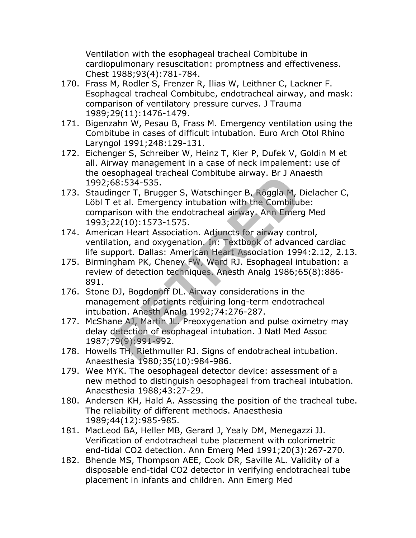Ventilation with the esophageal tracheal Combitube in cardiopulmonary resuscitation: promptness and effectiveness. Chest 1988;93(4):781-784.

- 170. Frass M, Rodler S, Frenzer R, Ilias W, Leithner C, Lackner F. Esophageal tracheal Combitube, endotracheal airway, and mask: comparison of ventilatory pressure curves. J Trauma 1989;29(11):1476-1479.
- 171. Bigenzahn W, Pesau B, Frass M. Emergency ventilation using the Combitube in cases of difficult intubation. Euro Arch Otol Rhino Laryngol 1991;248:129-131.
- 172. Eichenger S, Schreiber W, Heinz T, Kier P, Dufek V, Goldin M et all. Airway management in a case of neck impalement: use of the oesophageal tracheal Combitube airway. Br J Anaesth 1992;68:534-535.
- 173. Staudinger T, Brugger S, Watschinger B, Röggla M, Dielacher C, Löbl T et al. Emergency intubation with the Combitube: comparison with the endotracheal airway. Ann Emerg Med 1993;22(10):1573-1575. Represent traction combittable an way. BF5 And<br>Responsible an Way. BF5 And<br>Ret al. Emergency intubation with the Combitul<br>rison with the endotracheal airway. Ann Emery<br>22(10):1573-1575.<br>an Heart Association. Adjuncts for a
- 174. American Heart Association. Adjuncts for airway control, ventilation, and oxygenation. In: Textbook of advanced cardiac life support. Dallas: American Heart Association 1994:2.12, 2.13.
- 175. Birmingham PK, Cheney FW, Ward RJ. Esophageal intubation: a review of detection techniques. Anesth Analg 1986;65(8):886- 891.
- 176. Stone DJ, Bogdonoff DL. Airway considerations in the management of patients requiring long-term endotracheal intubation. Anesth Analg 1992;74:276-287.
- 177. McShane AJ, Martin JL. Preoxygenation and pulse oximetry may delay detection of esophageal intubation. J Natl Med Assoc 1987;79(9):991-992.
- 178. Howells TH, Riethmuller RJ. Signs of endotracheal intubation. Anaesthesia 1980;35(10):984-986.
- 179. Wee MYK. The oesophageal detector device: assessment of a new method to distinguish oesophageal from tracheal intubation. Anaesthesia 1988;43:27-29.
- 180. Andersen KH, Hald A. Assessing the position of the tracheal tube. The reliability of different methods. Anaesthesia 1989;44(12):985-985.
- 181. MacLeod BA, Heller MB, Gerard J, Yealy DM, Menegazzi JJ. Verification of endotracheal tube placement with colorimetric end-tidal CO2 detection. Ann Emerg Med 1991;20(3):267-270.
- 182. Bhende MS, Thompson AEE, Cook DR, Saville AL. Validity of a disposable end-tidal CO2 detector in verifying endotracheal tube placement in infants and children. Ann Emerg Med